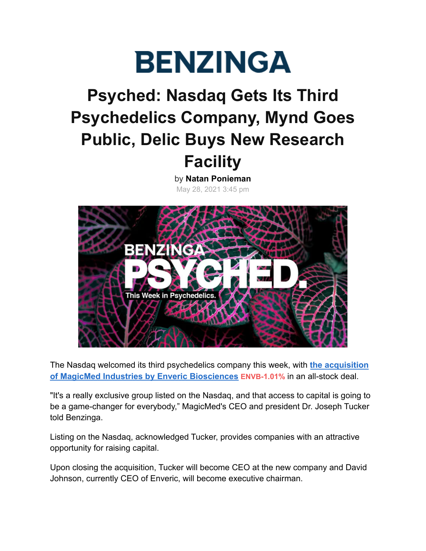

# **Psyched: Nasdaq Gets Its Third Psychedelics Company, Mynd Goes Public, Delic Buys New Research Facility**

by **[Natan Ponieman](https://www.benzinga.com/user/156617)** May 28, 2021 3:45 pm



The Nasdaq welcomed its third psychedelics company this week, with **[the acquisition](https://www.benzinga.com/markets/cannabis/21/05/21261079/another-psychedelics-company-joins-exclusive-nasdaq-group-with-enverics-acquisition-of-magicmed-) [of MagicMed Industries by Enveric Biosciences](https://www.benzinga.com/markets/cannabis/21/05/21261079/another-psychedelics-company-joins-exclusive-nasdaq-group-with-enverics-acquisition-of-magicmed-) ENVB[-1.01%](https://www.benzinga.com/quote/envb)** in an all-stock deal.

"It's a really exclusive group listed on the Nasdaq, and that access to capital is going to be a game-changer for everybody," MagicMed's CEO and president Dr. Joseph Tucker told Benzinga.

Listing on the Nasdaq, acknowledged Tucker, provides companies with an attractive opportunity for raising capital.

Upon closing the acquisition, Tucker will become CEO at the new company and David Johnson, currently CEO of Enveric, will become executive chairman.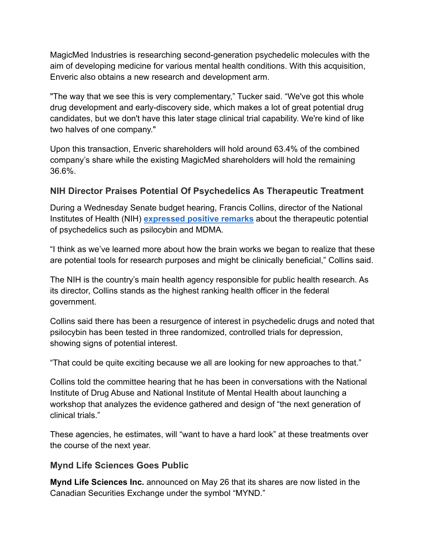MagicMed Industries is researching second-generation psychedelic molecules with the aim of developing medicine for various mental health conditions. With this acquisition, Enveric also obtains a new research and development arm.

"The way that we see this is very complementary," Tucker said. "We've got this whole drug development and early-discovery side, which makes a lot of great potential drug candidates, but we don't have this later stage clinical trial capability. We're kind of like two halves of one company."

Upon this transaction, Enveric shareholders will hold around 63.4% of the combined company's share while the existing MagicMed shareholders will hold the remaining 36.6%.

# **NIH Director Praises Potential Of Psychedelics As Therapeutic Treatment**

During a Wednesday Senate budget hearing, Francis Collins, director of the National Institutes of Health (NIH) **[expressed positive remarks](https://www.benzinga.com/markets/cannabis/21/05/21309351/nih-director-praises-psychedelics-potential-as-therapeutic-treatment-touts-progress-in-access-to)** about the therapeutic potential of psychedelics such as psilocybin and MDMA.

"I think as we've learned more about how the brain works we began to realize that these are potential tools for research purposes and might be clinically beneficial," Collins said.

The NIH is the country's main health agency responsible for public health research. As its director, Collins stands as the highest ranking health officer in the federal government.

Collins said there has been a resurgence of interest in psychedelic drugs and noted that psilocybin has been tested in three randomized, controlled trials for depression, showing signs of potential interest.

"That could be quite exciting because we all are looking for new approaches to that."

Collins told the committee hearing that he has been in conversations with the National Institute of Drug Abuse and National Institute of Mental Health about launching a workshop that analyzes the evidence gathered and design of "the next generation of clinical trials."

These agencies, he estimates, will "want to have a hard look" at these treatments over the course of the next year.

### **Mynd Life Sciences Goes Public**

**Mynd Life Sciences Inc.** announced on May 26 that its shares are now listed in the Canadian Securities Exchange under the symbol "MYND."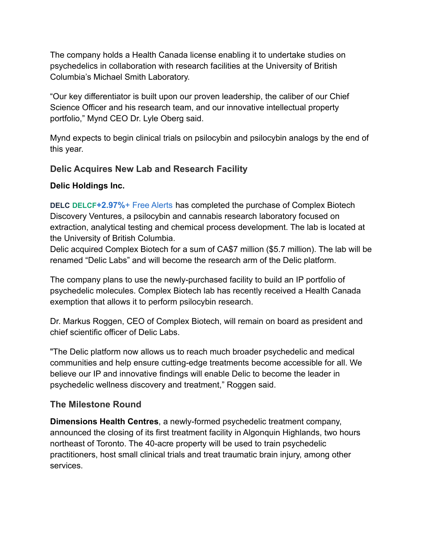The company holds a Health Canada license enabling it to undertake studies on psychedelics in collaboration with research facilities at the University of British Columbia's Michael Smith Laboratory.

"Our key differentiator is built upon our proven leadership, the caliber of our Chief Science Officer and his research team, and our innovative intellectual property portfolio," Mynd CEO Dr. Lyle Oberg said.

Mynd expects to begin clinical trials on psilocybin and psilocybin analogs by the end of this year.

# **Delic Acquires New Lab and Research Facility**

#### **Delic Holdings Inc.**

**[DELC](https://www.benzinga.com/quote/delc) DELCF[+2.97%](https://www.benzinga.com/quote/delcf)**[+ Free Alerts](https://www.benzinga.com/profile/portfolio/?add_ticker=DELCF) has completed the purchase of Complex Biotech Discovery Ventures, a psilocybin and cannabis research laboratory focused on extraction, analytical testing and chemical process development. The lab is located at the University of British Columbia.

Delic acquired Complex Biotech for a sum of CA\$7 million (\$5.7 million). The lab will be renamed "Delic Labs" and will become the research arm of the Delic platform.

The company plans to use the newly-purchased facility to build an IP portfolio of psychedelic molecules. Complex Biotech lab has recently received a Health Canada exemption that allows it to perform psilocybin research.

Dr. Markus Roggen, CEO of Complex Biotech, will remain on board as president and chief scientific officer of Delic Labs.

"The Delic platform now allows us to reach much broader psychedelic and medical communities and help ensure cutting-edge treatments become accessible for all. We believe our IP and innovative findings will enable Delic to become the leader in psychedelic wellness discovery and treatment," Roggen said.

### **The Milestone Round**

**Dimensions Health Centres**, a newly-formed psychedelic treatment company, announced the closing of its first treatment facility in Algonquin Highlands, two hours northeast of Toronto. The 40-acre property will be used to train psychedelic practitioners, host small clinical trials and treat traumatic brain injury, among other services.